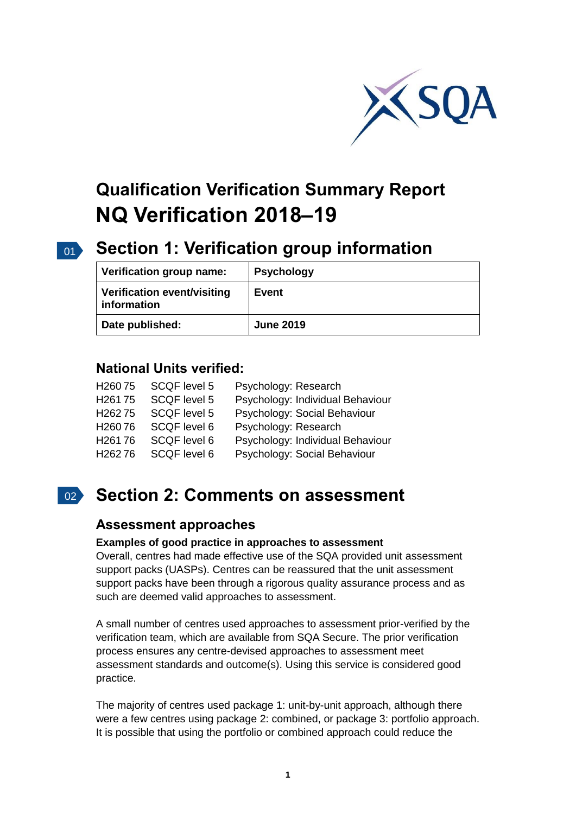

# **Qualification Verification Summary Report NQ Verification 2018–19**

# 01 **Section 1: Verification group information**

| Verification group name:                   | <b>Psychology</b> |
|--------------------------------------------|-------------------|
| Verification event/visiting<br>information | Event             |
| Date published:                            | <b>June 2019</b>  |

## **National Units verified:**

| H <sub>260</sub> 75 | <b>SCQF level 5</b> | Psychology: Research             |
|---------------------|---------------------|----------------------------------|
| H <sub>261</sub> 75 | <b>SCQF level 5</b> | Psychology: Individual Behaviour |
| H <sub>262</sub> 75 | SCQF level 5        | Psychology: Social Behaviour     |
| H <sub>260</sub> 76 | SCQF level 6        | Psychology: Research             |
| H <sub>261</sub> 76 | SCQF level 6        | Psychology: Individual Behaviour |
| H <sub>262</sub> 76 | SCQF level 6        | Psychology: Social Behaviour     |

# 02 **Section 2: Comments on assessment**

## **Assessment approaches**

## **Examples of good practice in approaches to assessment**

Overall, centres had made effective use of the SQA provided unit assessment support packs (UASPs). Centres can be reassured that the unit assessment support packs have been through a rigorous quality assurance process and as such are deemed valid approaches to assessment.

A small number of centres used approaches to assessment prior-verified by the verification team, which are available from SQA Secure. The prior verification process ensures any centre-devised approaches to assessment meet assessment standards and outcome(s). Using this service is considered good practice.

The majority of centres used package 1: unit-by-unit approach, although there were a few centres using package 2: combined, or package 3: portfolio approach. It is possible that using the portfolio or combined approach could reduce the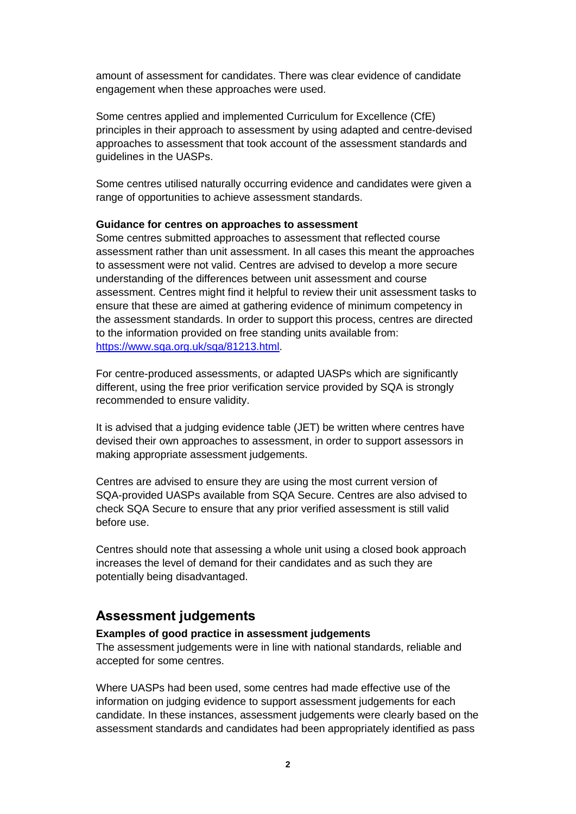amount of assessment for candidates. There was clear evidence of candidate engagement when these approaches were used.

Some centres applied and implemented Curriculum for Excellence (CfE) principles in their approach to assessment by using adapted and centre-devised approaches to assessment that took account of the assessment standards and guidelines in the UASPs.

Some centres utilised naturally occurring evidence and candidates were given a range of opportunities to achieve assessment standards.

#### **Guidance for centres on approaches to assessment**

Some centres submitted approaches to assessment that reflected course assessment rather than unit assessment. In all cases this meant the approaches to assessment were not valid. Centres are advised to develop a more secure understanding of the differences between unit assessment and course assessment. Centres might find it helpful to review their unit assessment tasks to ensure that these are aimed at gathering evidence of minimum competency in the assessment standards. In order to support this process, centres are directed to the information provided on free standing units available from: [https://www.sqa.org.uk/sqa/81213.html.](https://www.sqa.org.uk/sqa/81213.html)

For centre-produced assessments, or adapted UASPs which are significantly different, using the free prior verification service provided by SQA is strongly recommended to ensure validity.

It is advised that a judging evidence table (JET) be written where centres have devised their own approaches to assessment, in order to support assessors in making appropriate assessment judgements.

Centres are advised to ensure they are using the most current version of SQA-provided UASPs available from SQA Secure. Centres are also advised to check SQA Secure to ensure that any prior verified assessment is still valid before use.

Centres should note that assessing a whole unit using a closed book approach increases the level of demand for their candidates and as such they are potentially being disadvantaged.

## **Assessment judgements**

#### **Examples of good practice in assessment judgements**

The assessment judgements were in line with national standards, reliable and accepted for some centres.

Where UASPs had been used, some centres had made effective use of the information on judging evidence to support assessment judgements for each candidate. In these instances, assessment judgements were clearly based on the assessment standards and candidates had been appropriately identified as pass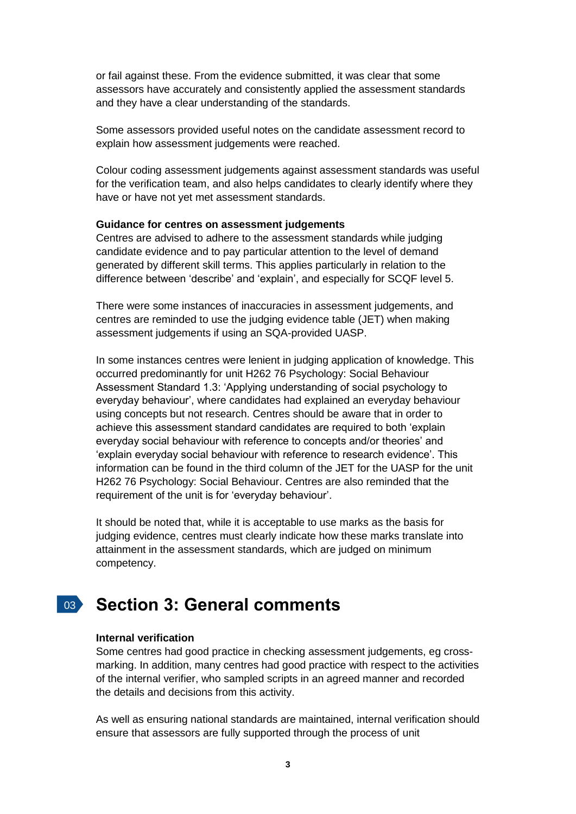or fail against these. From the evidence submitted, it was clear that some assessors have accurately and consistently applied the assessment standards and they have a clear understanding of the standards.

Some assessors provided useful notes on the candidate assessment record to explain how assessment judgements were reached.

Colour coding assessment judgements against assessment standards was useful for the verification team, and also helps candidates to clearly identify where they have or have not yet met assessment standards.

#### **Guidance for centres on assessment judgements**

Centres are advised to adhere to the assessment standards while judging candidate evidence and to pay particular attention to the level of demand generated by different skill terms. This applies particularly in relation to the difference between 'describe' and 'explain', and especially for SCQF level 5.

There were some instances of inaccuracies in assessment judgements, and centres are reminded to use the judging evidence table (JET) when making assessment judgements if using an SQA-provided UASP.

In some instances centres were lenient in judging application of knowledge. This occurred predominantly for unit H262 76 Psychology: Social Behaviour Assessment Standard 1.3: 'Applying understanding of social psychology to everyday behaviour', where candidates had explained an everyday behaviour using concepts but not research. Centres should be aware that in order to achieve this assessment standard candidates are required to both 'explain everyday social behaviour with reference to concepts and/or theories' and 'explain everyday social behaviour with reference to research evidence'. This information can be found in the third column of the JET for the UASP for the unit H262 76 Psychology: Social Behaviour. Centres are also reminded that the requirement of the unit is for 'everyday behaviour'.

It should be noted that, while it is acceptable to use marks as the basis for judging evidence, centres must clearly indicate how these marks translate into attainment in the assessment standards, which are judged on minimum competency.

# 03 **Section 3: General comments**

#### **Internal verification**

Some centres had good practice in checking assessment judgements, eg crossmarking. In addition, many centres had good practice with respect to the activities of the internal verifier, who sampled scripts in an agreed manner and recorded the details and decisions from this activity.

As well as ensuring national standards are maintained, internal verification should ensure that assessors are fully supported through the process of unit